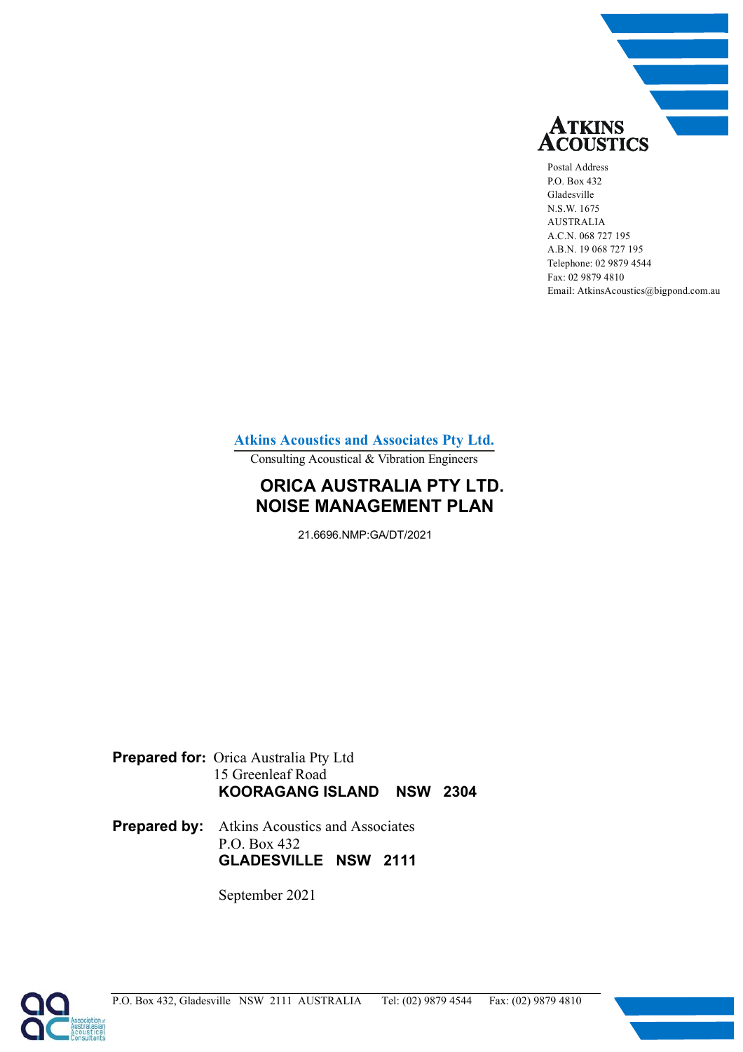

Postal Address P.O. Box 432 Gladesville N.S.W. 1675 AUSTRALIA A.C.N. 068 727 195 A.B.N. 19 068 727 195 Telephone: 02 9879 4544 Fax: 02 9879 4810 Email: AtkinsAcoustics@bigpond.com.au

**Atkins Acoustics and Associates Pty Ltd.**

Consulting Acoustical & Vibration Engineers

## **ORICA AUSTRALIA PTY LTD. NOISE MANAGEMENT PLAN**

21.6696.NMP:GA/DT/2021

**Prepared for:** Orica Australia Pty Ltd 15 Greenleaf Road **KOORAGANG ISLAND NSW 2304** 

**Prepared by:** Atkins Acoustics and Associates P.O. Box 432 **GLADESVILLE NSW 2111** 

September 2021

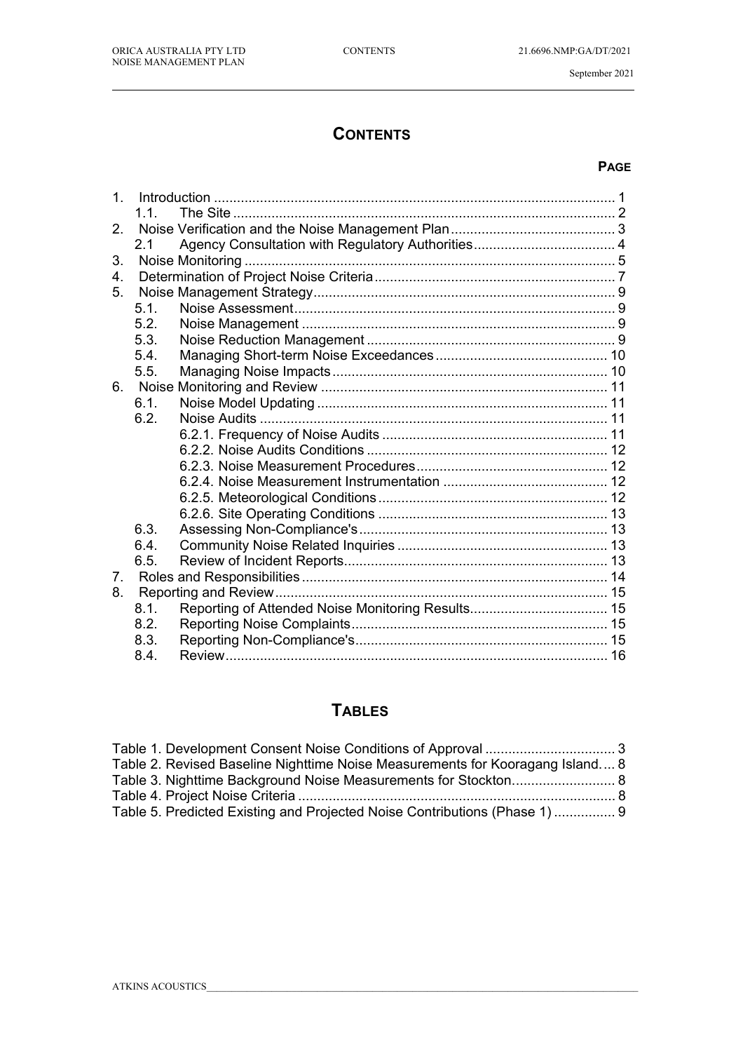$\overline{a}$ 

September 2021

# **CONTENTS**

#### **PAGE**

| 1 <sub>1</sub> |      |  |
|----------------|------|--|
|                | 1.1. |  |
| 2.             |      |  |
|                | 2.1  |  |
| 3.             |      |  |
| 4.             |      |  |
| 5.             |      |  |
|                | 5.1. |  |
|                | 5.2. |  |
|                | 5.3. |  |
|                | 5.4. |  |
|                | 5.5. |  |
| 6.             |      |  |
|                | 6.1. |  |
|                | 6.2. |  |
|                |      |  |
|                |      |  |
|                |      |  |
|                |      |  |
|                |      |  |
|                |      |  |
|                | 6.3. |  |
|                | 6.4. |  |
|                | 6.5. |  |
| 7.             |      |  |
| 8.             |      |  |
|                | 8.1. |  |
|                | 8.2. |  |
|                | 8.3. |  |
|                | 8.4. |  |

## **TABLES**

| Table 2. Revised Baseline Nighttime Noise Measurements for Kooragang Island 8 |  |
|-------------------------------------------------------------------------------|--|
|                                                                               |  |
|                                                                               |  |
| Table 5. Predicted Existing and Projected Noise Contributions (Phase 1)  9    |  |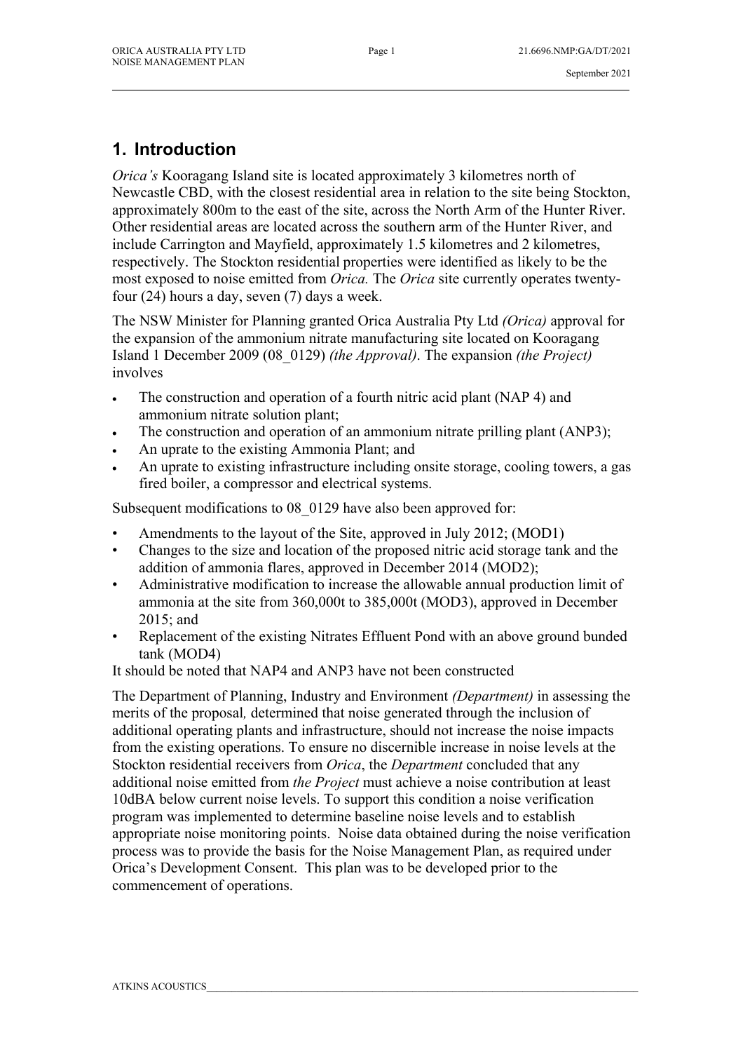# **1. Introduction**

*Orica's* Kooragang Island site is located approximately 3 kilometres north of Newcastle CBD, with the closest residential area in relation to the site being Stockton, approximately 800m to the east of the site, across the North Arm of the Hunter River. Other residential areas are located across the southern arm of the Hunter River, and include Carrington and Mayfield, approximately 1.5 kilometres and 2 kilometres, respectively. The Stockton residential properties were identified as likely to be the most exposed to noise emitted from *Orica.* The *Orica* site currently operates twentyfour (24) hours a day, seven (7) days a week.

The NSW Minister for Planning granted Orica Australia Pty Ltd *(Orica)* approval for the expansion of the ammonium nitrate manufacturing site located on Kooragang Island 1 December 2009 (08\_0129) *(the Approval)*. The expansion *(the Project)*  involves

- The construction and operation of a fourth nitric acid plant (NAP 4) and ammonium nitrate solution plant;
- The construction and operation of an ammonium nitrate prilling plant (ANP3);
- An uprate to the existing Ammonia Plant; and
- An uprate to existing infrastructure including onsite storage, cooling towers, a gas fired boiler, a compressor and electrical systems.

Subsequent modifications to 08 0129 have also been approved for:

- Amendments to the layout of the Site, approved in July 2012; (MOD1)
- Changes to the size and location of the proposed nitric acid storage tank and the addition of ammonia flares, approved in December 2014 (MOD2);
- Administrative modification to increase the allowable annual production limit of ammonia at the site from 360,000t to 385,000t (MOD3), approved in December 2015; and
- Replacement of the existing Nitrates Effluent Pond with an above ground bunded tank (MOD4)

It should be noted that NAP4 and ANP3 have not been constructed

The Department of Planning, Industry and Environment *(Department)* in assessing the merits of the proposal*,* determined that noise generated through the inclusion of additional operating plants and infrastructure, should not increase the noise impacts from the existing operations. To ensure no discernible increase in noise levels at the Stockton residential receivers from *Orica*, the *Department* concluded that any additional noise emitted from *the Project* must achieve a noise contribution at least 10dBA below current noise levels. To support this condition a noise verification program was implemented to determine baseline noise levels and to establish appropriate noise monitoring points. Noise data obtained during the noise verification process was to provide the basis for the Noise Management Plan, as required under Orica's Development Consent. This plan was to be developed prior to the commencement of operations.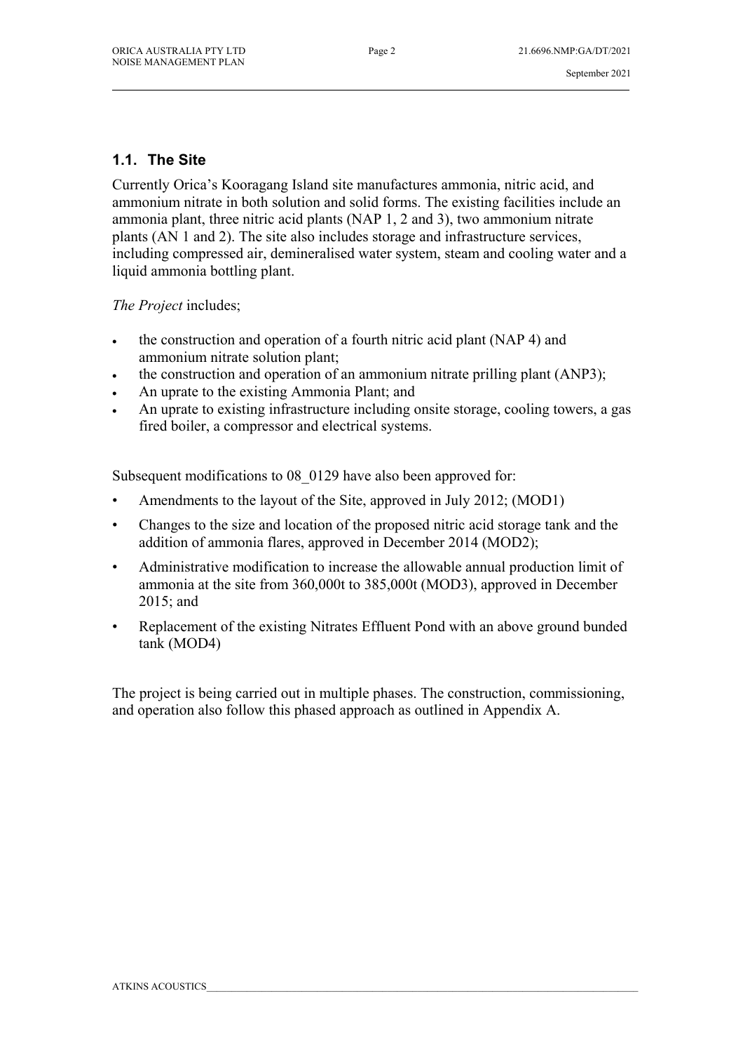#### **1.1. The Site**

Currently Orica's Kooragang Island site manufactures ammonia, nitric acid, and ammonium nitrate in both solution and solid forms. The existing facilities include an ammonia plant, three nitric acid plants (NAP 1, 2 and 3), two ammonium nitrate plants (AN 1 and 2). The site also includes storage and infrastructure services, including compressed air, demineralised water system, steam and cooling water and a liquid ammonia bottling plant.

*The Project* includes;

- the construction and operation of a fourth nitric acid plant (NAP 4) and ammonium nitrate solution plant;
- the construction and operation of an ammonium nitrate prilling plant (ANP3);
- An uprate to the existing Ammonia Plant; and
- An uprate to existing infrastructure including onsite storage, cooling towers, a gas fired boiler, a compressor and electrical systems.

Subsequent modifications to 08 0129 have also been approved for:

- Amendments to the layout of the Site, approved in July 2012; (MOD1)
- Changes to the size and location of the proposed nitric acid storage tank and the addition of ammonia flares, approved in December 2014 (MOD2);
- Administrative modification to increase the allowable annual production limit of ammonia at the site from 360,000t to 385,000t (MOD3), approved in December 2015; and
- Replacement of the existing Nitrates Effluent Pond with an above ground bunded tank (MOD4)

The project is being carried out in multiple phases. The construction, commissioning, and operation also follow this phased approach as outlined in Appendix A.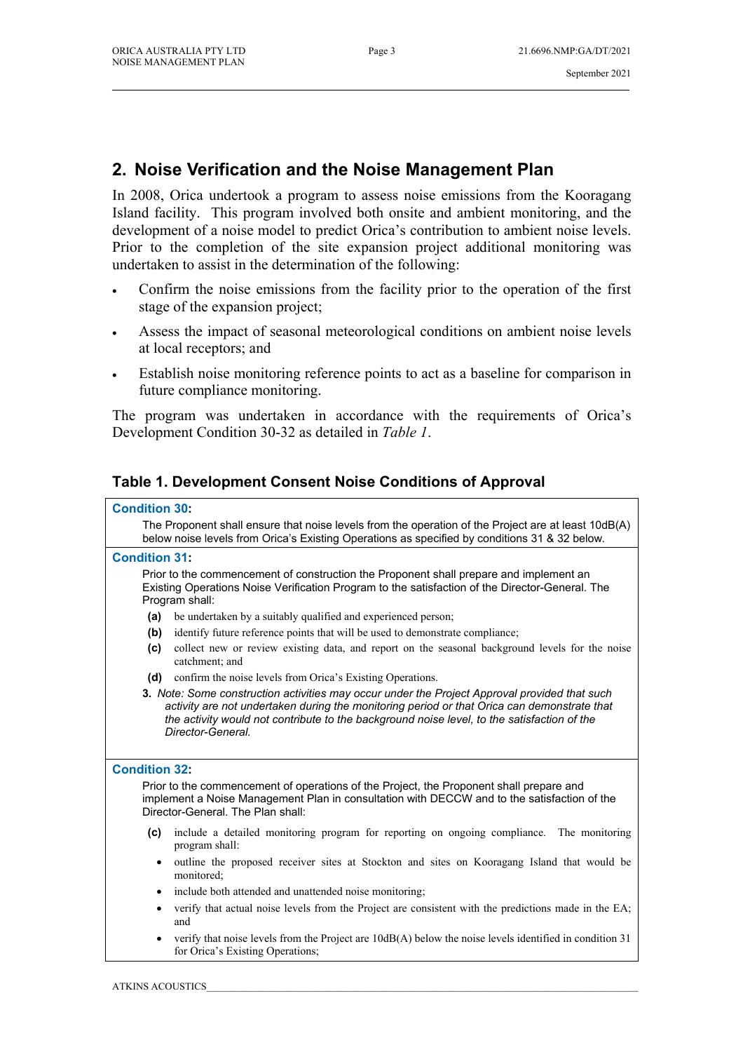# **2. Noise Verification and the Noise Management Plan**

In 2008, Orica undertook a program to assess noise emissions from the Kooragang Island facility. This program involved both onsite and ambient monitoring, and the development of a noise model to predict Orica's contribution to ambient noise levels. Prior to the completion of the site expansion project additional monitoring was undertaken to assist in the determination of the following:

- Confirm the noise emissions from the facility prior to the operation of the first stage of the expansion project;
- Assess the impact of seasonal meteorological conditions on ambient noise levels at local receptors; and
- Establish noise monitoring reference points to act as a baseline for comparison in future compliance monitoring.

The program was undertaken in accordance with the requirements of Orica's Development Condition 30-32 as detailed in *Table 1*.

#### **Table 1. Development Consent Noise Conditions of Approval**

#### **Condition 30:**

The Proponent shall ensure that noise levels from the operation of the Project are at least 10dB(A) below noise levels from Orica's Existing Operations as specified by conditions 31 & 32 below.

#### **Condition 31:**

Prior to the commencement of construction the Proponent shall prepare and implement an Existing Operations Noise Verification Program to the satisfaction of the Director-General. The Program shall:

- **(a)** be undertaken by a suitably qualified and experienced person;
- **(b)** identify future reference points that will be used to demonstrate compliance;
- **(c)** collect new or review existing data, and report on the seasonal background levels for the noise catchment; and
- **(d)** confirm the noise levels from Orica's Existing Operations.
- **3.** *Note: Some construction activities may occur under the Project Approval provided that such activity are not undertaken during the monitoring period or that Orica can demonstrate that the activity would not contribute to the background noise level, to the satisfaction of the Director-General.*

#### **Condition 32:**

Prior to the commencement of operations of the Project, the Proponent shall prepare and implement a Noise Management Plan in consultation with DECCW and to the satisfaction of the Director-General. The Plan shall:

- **(c)** include a detailed monitoring program for reporting on ongoing compliance. The monitoring program shall:
	- outline the proposed receiver sites at Stockton and sites on Kooragang Island that would be monitored;
	- include both attended and unattended noise monitoring;
	- verify that actual noise levels from the Project are consistent with the predictions made in the EA; and
	- verify that noise levels from the Project are 10dB(A) below the noise levels identified in condition 31 for Orica's Existing Operations;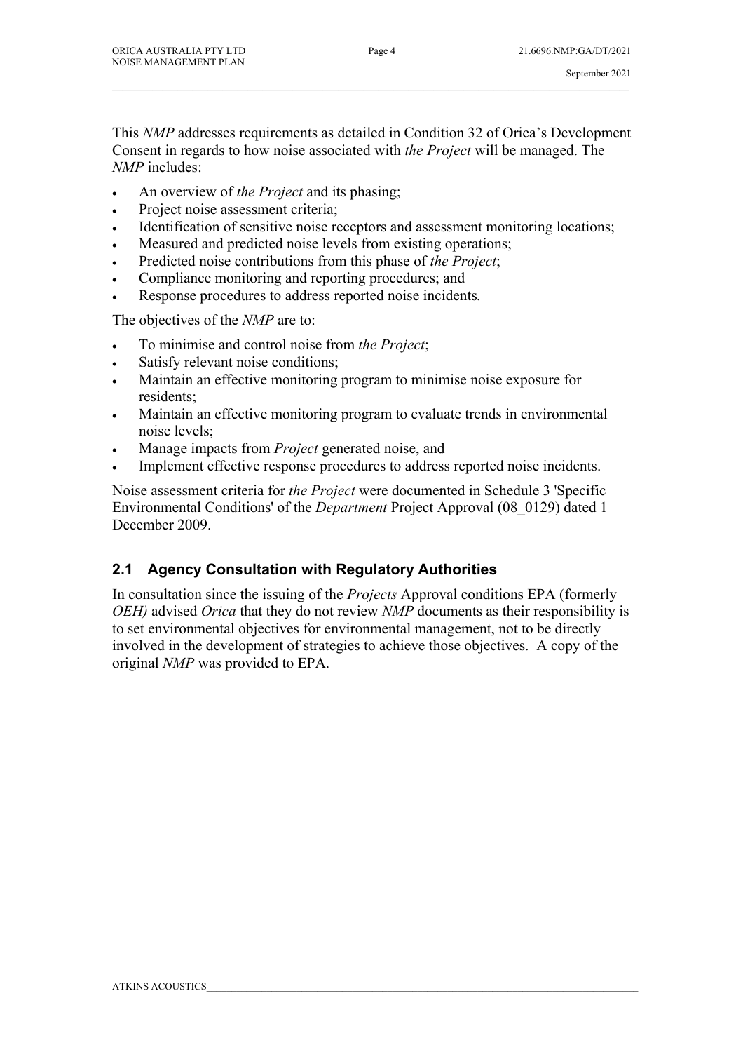This *NMP* addresses requirements as detailed in Condition 32 of Orica's Development Consent in regards to how noise associated with *the Project* will be managed. The *NMP* includes:

\_\_\_\_\_\_\_\_\_\_\_\_\_\_\_\_\_\_\_\_\_\_\_\_\_\_\_\_\_\_\_\_\_\_\_\_\_\_\_\_\_\_\_\_\_\_\_\_\_\_\_\_\_\_\_\_\_\_\_\_\_\_\_\_\_\_\_\_\_\_\_\_\_\_\_\_\_\_\_\_\_\_\_\_\_\_\_\_\_\_\_\_\_\_\_\_\_\_\_\_\_\_\_

- An overview of *the Project* and its phasing;
- Project noise assessment criteria;
- Identification of sensitive noise receptors and assessment monitoring locations;
- Measured and predicted noise levels from existing operations;
- Predicted noise contributions from this phase of *the Project*;
- Compliance monitoring and reporting procedures; and
- Response procedures to address reported noise incidents*.*

The objectives of the *NMP* are to:

- To minimise and control noise from *the Project*;
- Satisfy relevant noise conditions;
- Maintain an effective monitoring program to minimise noise exposure for residents;
- Maintain an effective monitoring program to evaluate trends in environmental noise levels;
- Manage impacts from *Project* generated noise, and
- Implement effective response procedures to address reported noise incidents.

Noise assessment criteria for *the Project* were documented in Schedule 3 'Specific Environmental Conditions' of the *Department* Project Approval (08\_0129) dated 1 December 2009.

#### **2.1 Agency Consultation with Regulatory Authorities**

In consultation since the issuing of the *Projects* Approval conditions EPA (formerly *OEH)* advised *Orica* that they do not review *NMP* documents as their responsibility is to set environmental objectives for environmental management, not to be directly involved in the development of strategies to achieve those objectives. A copy of the original *NMP* was provided to EPA.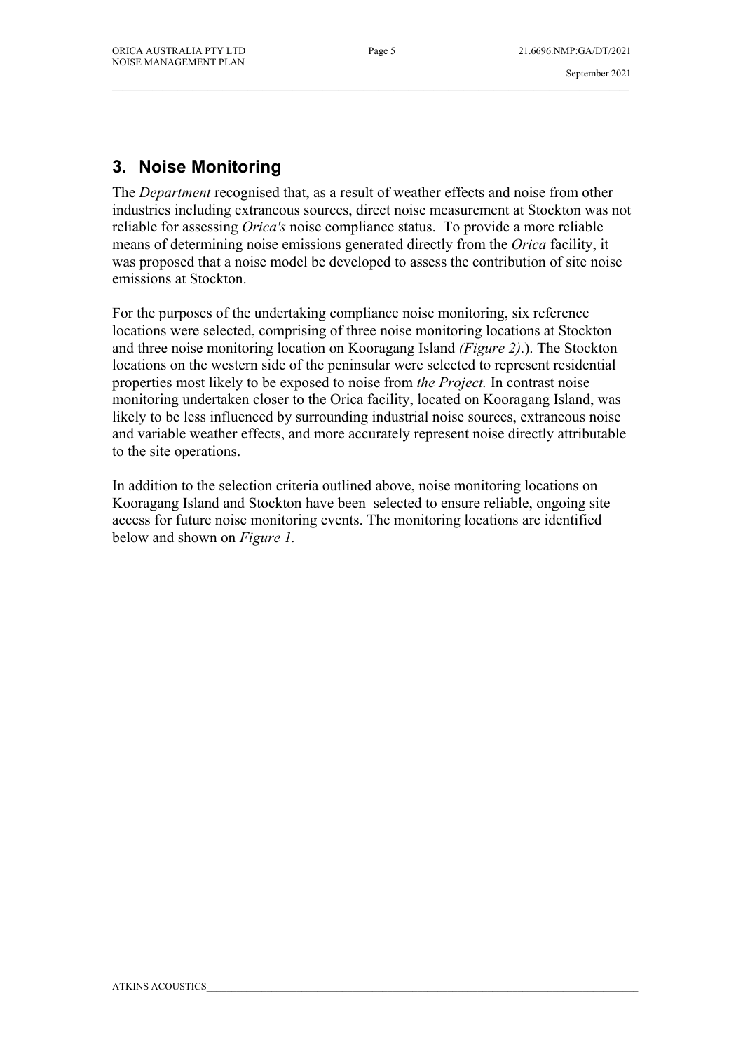# **3. Noise Monitoring**

The *Department* recognised that, as a result of weather effects and noise from other industries including extraneous sources, direct noise measurement at Stockton was not reliable for assessing *Orica's* noise compliance status. To provide a more reliable means of determining noise emissions generated directly from the *Orica* facility, it was proposed that a noise model be developed to assess the contribution of site noise emissions at Stockton.

For the purposes of the undertaking compliance noise monitoring, six reference locations were selected, comprising of three noise monitoring locations at Stockton and three noise monitoring location on Kooragang Island *(Figure 2)*.). The Stockton locations on the western side of the peninsular were selected to represent residential properties most likely to be exposed to noise from *the Project.* In contrast noise monitoring undertaken closer to the Orica facility, located on Kooragang Island, was likely to be less influenced by surrounding industrial noise sources, extraneous noise and variable weather effects, and more accurately represent noise directly attributable to the site operations.

In addition to the selection criteria outlined above, noise monitoring locations on Kooragang Island and Stockton have been selected to ensure reliable, ongoing site access for future noise monitoring events. The monitoring locations are identified below and shown on *Figure 1.*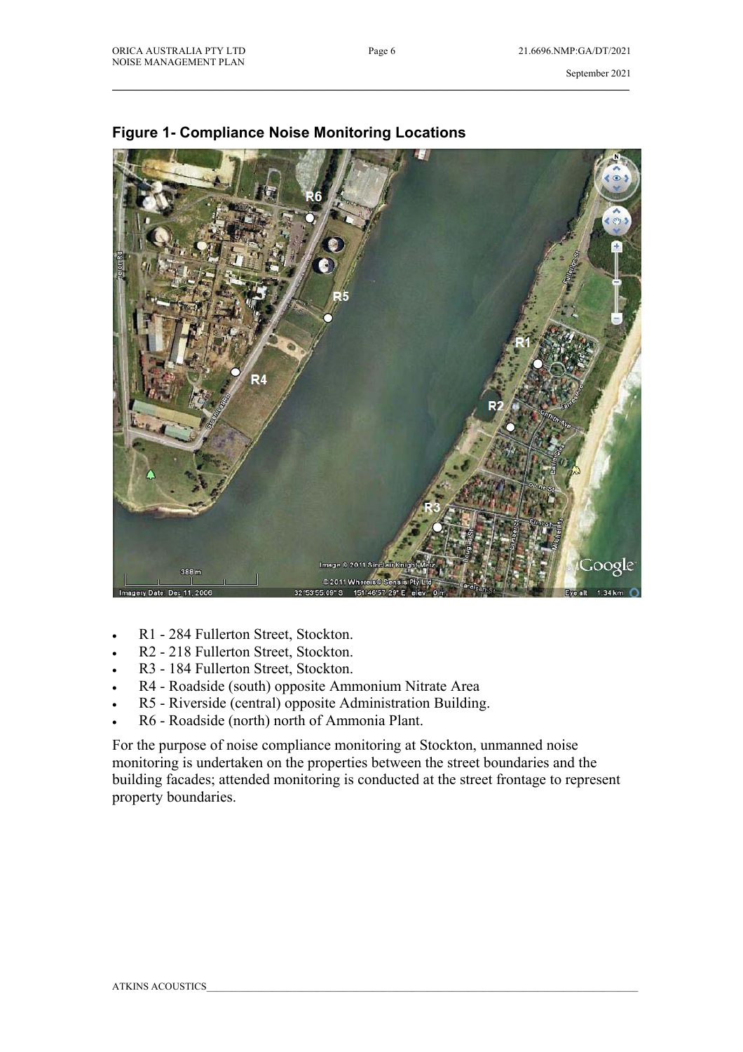

#### **Figure 1- Compliance Noise Monitoring Locations**

- R1 284 Fullerton Street, Stockton.
- R2 218 Fullerton Street, Stockton.
- R3 184 Fullerton Street, Stockton.
- R4 Roadside (south) opposite Ammonium Nitrate Area
- R5 Riverside (central) opposite Administration Building.
- R6 Roadside (north) north of Ammonia Plant.

For the purpose of noise compliance monitoring at Stockton, unmanned noise monitoring is undertaken on the properties between the street boundaries and the building facades; attended monitoring is conducted at the street frontage to represent property boundaries.

\_\_\_\_\_\_\_\_\_\_\_\_\_\_\_\_\_\_\_\_\_\_\_\_\_\_\_\_\_\_\_\_\_\_\_\_\_\_\_\_\_\_\_\_\_\_\_\_\_\_\_\_\_\_\_\_\_\_\_\_\_\_\_\_\_\_\_\_\_\_\_\_\_\_\_\_\_\_\_\_\_\_\_\_\_\_\_\_\_\_\_\_\_\_\_\_\_\_\_\_\_\_\_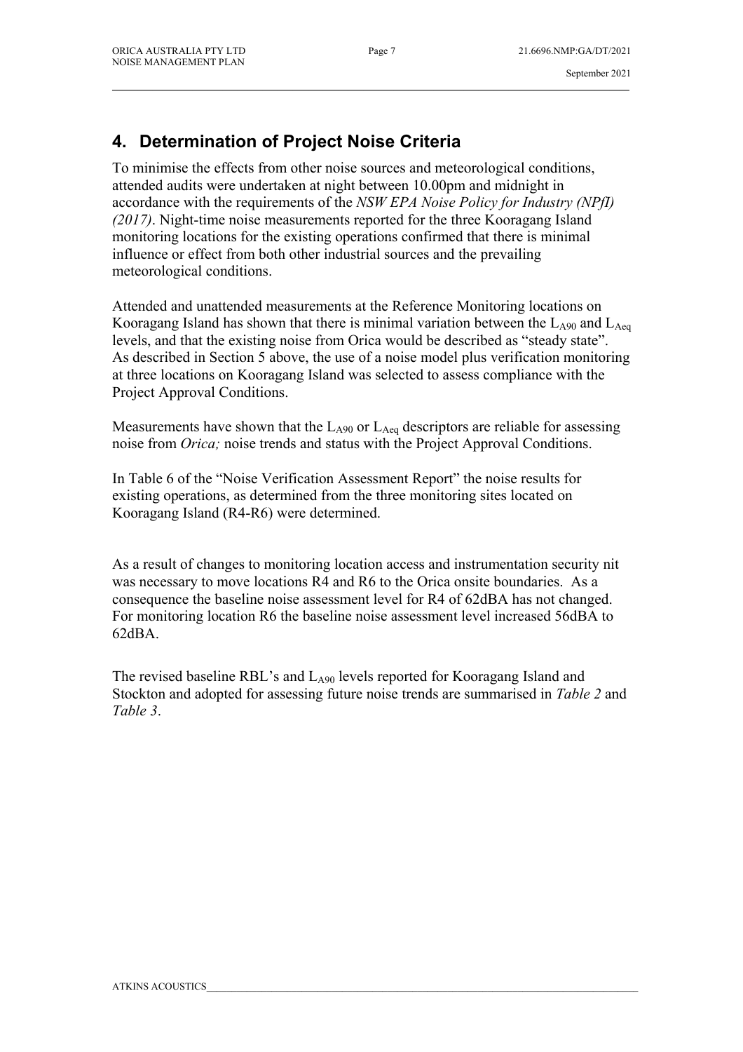#### September 2021

# **4. Determination of Project Noise Criteria**

To minimise the effects from other noise sources and meteorological conditions, attended audits were undertaken at night between 10.00pm and midnight in accordance with the requirements of the *NSW EPA Noise Policy for Industry (NPfI) (2017)*. Night-time noise measurements reported for the three Kooragang Island monitoring locations for the existing operations confirmed that there is minimal influence or effect from both other industrial sources and the prevailing meteorological conditions.

Attended and unattended measurements at the Reference Monitoring locations on Kooragang Island has shown that there is minimal variation between the  $L_{A90}$  and  $L_{Aeq}$ levels, and that the existing noise from Orica would be described as "steady state". As described in Section 5 above, the use of a noise model plus verification monitoring at three locations on Kooragang Island was selected to assess compliance with the Project Approval Conditions.

Measurements have shown that the  $L_{A90}$  or  $L_{Aeq}$  descriptors are reliable for assessing noise from *Orica;* noise trends and status with the Project Approval Conditions.

In Table 6 of the "Noise Verification Assessment Report" the noise results for existing operations, as determined from the three monitoring sites located on Kooragang Island (R4-R6) were determined.

As a result of changes to monitoring location access and instrumentation security nit was necessary to move locations R4 and R6 to the Orica onsite boundaries. As a consequence the baseline noise assessment level for R4 of 62dBA has not changed. For monitoring location R6 the baseline noise assessment level increased 56dBA to 62dBA.

The revised baseline RBL's and  $L_{A90}$  levels reported for Kooragang Island and Stockton and adopted for assessing future noise trends are summarised in *Table 2* and *Table 3*.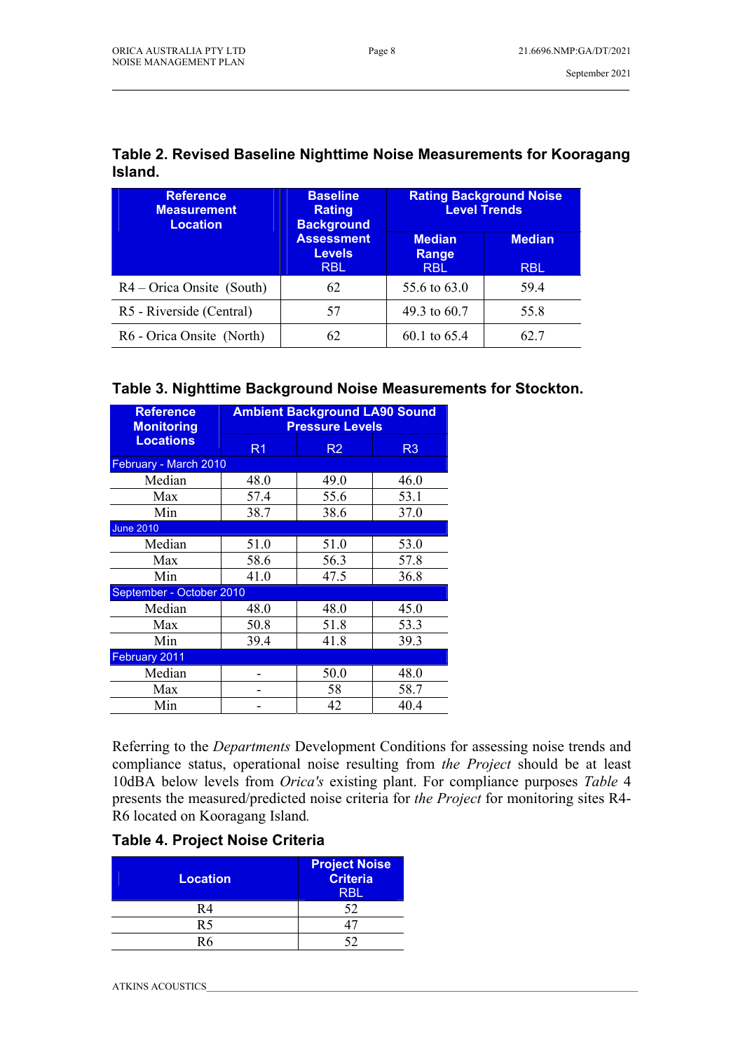| <b>Reference</b><br><b>Measurement</b><br><b>Location</b> | <b>Baseline</b><br><b>Rating</b><br><b>Background</b> | <b>Rating Background Noise</b><br><b>Level Trends</b> |                             |  |
|-----------------------------------------------------------|-------------------------------------------------------|-------------------------------------------------------|-----------------------------|--|
|                                                           | <b>Assessment</b><br><b>Levels</b><br><b>RBL</b>      | <b>Median</b><br>Range<br><b>RBL</b>                  | <b>Median</b><br><b>RBL</b> |  |
| $R4 - Orica Onsite (South)$                               | 62                                                    | 55.6 to 63.0                                          | 59.4                        |  |
| R5 - Riverside (Central)                                  | 57                                                    | 49.3 to 60.7                                          | 55.8                        |  |
| R6 - Orica Onsite (North)                                 | 62                                                    | 60.1 to 65.4                                          | 62.7                        |  |

#### **Table 2. Revised Baseline Nighttime Noise Measurements for Kooragang Island.**

\_\_\_\_\_\_\_\_\_\_\_\_\_\_\_\_\_\_\_\_\_\_\_\_\_\_\_\_\_\_\_\_\_\_\_\_\_\_\_\_\_\_\_\_\_\_\_\_\_\_\_\_\_\_\_\_\_\_\_\_\_\_\_\_\_\_\_\_\_\_\_\_\_\_\_\_\_\_\_\_\_\_\_\_\_\_\_\_\_\_\_\_\_\_\_\_\_\_\_\_\_\_\_

#### **Table 3. Nighttime Background Noise Measurements for Stockton.**

| <b>Reference</b><br><b>Monitoring</b> | <b>Ambient Background LA90 Sound</b><br><b>Pressure Levels</b> |                |                |  |  |  |
|---------------------------------------|----------------------------------------------------------------|----------------|----------------|--|--|--|
| <b>Locations</b>                      | R <sub>1</sub>                                                 | R <sub>2</sub> | R <sub>3</sub> |  |  |  |
|                                       | February - March 2010                                          |                |                |  |  |  |
| Median                                | 48.0                                                           | 49.0           | 46.0           |  |  |  |
| Max                                   | 57.4                                                           | 55.6           | 53.1           |  |  |  |
| Min                                   | 38.7                                                           | 38.6           | 37.0           |  |  |  |
| <b>June 2010</b>                      |                                                                |                |                |  |  |  |
| Median                                | 51.0                                                           | 51.0           | 53.0           |  |  |  |
| Max                                   | 58.6                                                           | 56.3           | 57.8           |  |  |  |
| Min                                   | 41.0                                                           | 47.5           | 36.8           |  |  |  |
| September - October 2010              |                                                                |                |                |  |  |  |
| Median                                | 48.0                                                           | 48.0           | 45.0           |  |  |  |
| Max                                   | 50.8                                                           | 51.8           | 53.3           |  |  |  |
| Min                                   | 39.4                                                           | 41.8           | 39.3           |  |  |  |
| February 2011                         |                                                                |                |                |  |  |  |
| Median                                |                                                                | 50.0           | 48.0           |  |  |  |
| Max                                   |                                                                | 58             | 58.7           |  |  |  |
| Min                                   |                                                                | 42             | 40.4           |  |  |  |

Referring to the *Departments* Development Conditions for assessing noise trends and compliance status, operational noise resulting from *the Project* should be at least 10dBA below levels from *Orica's* existing plant. For compliance purposes *Table* 4 presents the measured/predicted noise criteria for *the Project* for monitoring sites R4- R6 located on Kooragang Island*.*

#### **Table 4. Project Noise Criteria**

| <b>Location</b> | <b>Project Noise</b><br>Criteria<br><b>RBL</b> |  |  |
|-----------------|------------------------------------------------|--|--|
| R4              | 52                                             |  |  |
| R5              |                                                |  |  |
| R6              |                                                |  |  |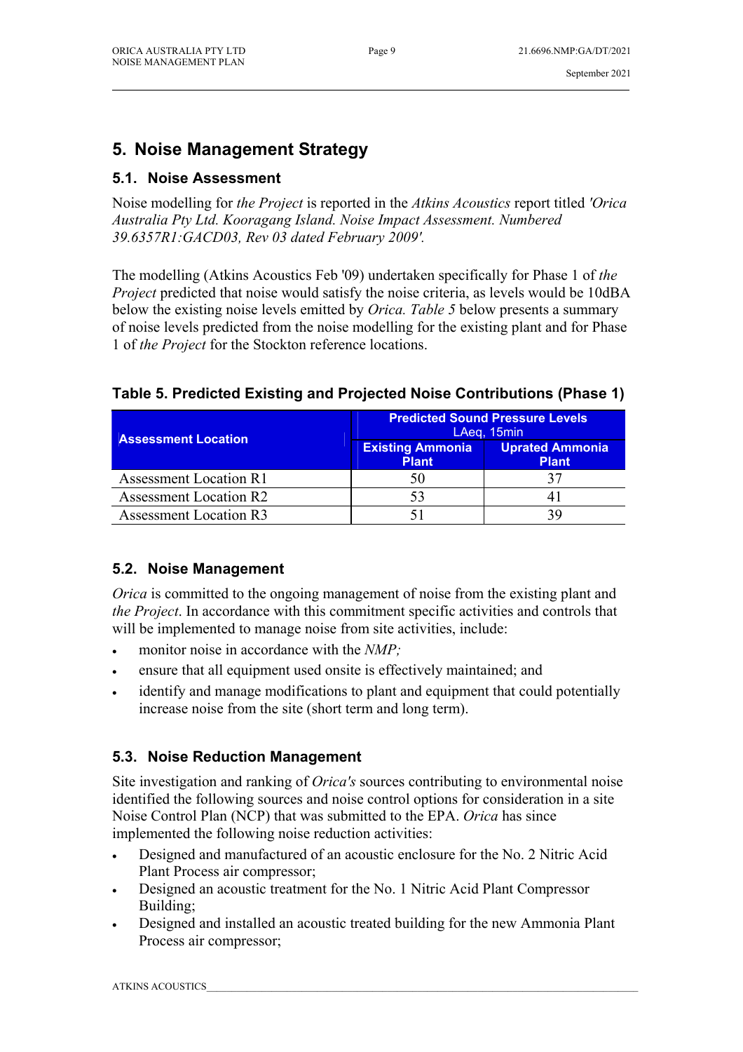# **5. Noise Management Strategy**

## **5.1. Noise Assessment**

Noise modelling for *the Project* is reported in the *Atkins Acoustics* report titled *'Orica Australia Pty Ltd. Kooragang Island. Noise Impact Assessment. Numbered 39.6357R1:GACD03, Rev 03 dated February 2009'.* 

The modelling (Atkins Acoustics Feb '09) undertaken specifically for Phase 1 of *the Project* predicted that noise would satisfy the noise criteria, as levels would be 10dBA below the existing noise levels emitted by *Orica. Table 5* below presents a summary of noise levels predicted from the noise modelling for the existing plant and for Phase 1 of *the Project* for the Stockton reference locations.

## **Table 5. Predicted Existing and Projected Noise Contributions (Phase 1)**

| <b>Assessment Location</b>    | <b>Predicted Sound Pressure Levels</b><br>LAeq, 15min |                                        |  |
|-------------------------------|-------------------------------------------------------|----------------------------------------|--|
|                               | <b>Existing Ammonia</b><br><b>Plant</b>               | <b>Uprated Ammonia</b><br><b>Plant</b> |  |
| <b>Assessment Location R1</b> | 50                                                    |                                        |  |
| <b>Assessment Location R2</b> | 53                                                    |                                        |  |
| <b>Assessment Location R3</b> |                                                       |                                        |  |

#### **5.2. Noise Management**

*Orica* is committed to the ongoing management of noise from the existing plant and *the Project*. In accordance with this commitment specific activities and controls that will be implemented to manage noise from site activities, include:

- monitor noise in accordance with the *NMP;*
- ensure that all equipment used onsite is effectively maintained; and
- identify and manage modifications to plant and equipment that could potentially increase noise from the site (short term and long term).

## **5.3. Noise Reduction Management**

Site investigation and ranking of *Orica's* sources contributing to environmental noise identified the following sources and noise control options for consideration in a site Noise Control Plan (NCP) that was submitted to the EPA. *Orica* has since implemented the following noise reduction activities:

- Designed and manufactured of an acoustic enclosure for the No. 2 Nitric Acid Plant Process air compressor;
- Designed an acoustic treatment for the No. 1 Nitric Acid Plant Compressor Building;
- Designed and installed an acoustic treated building for the new Ammonia Plant Process air compressor;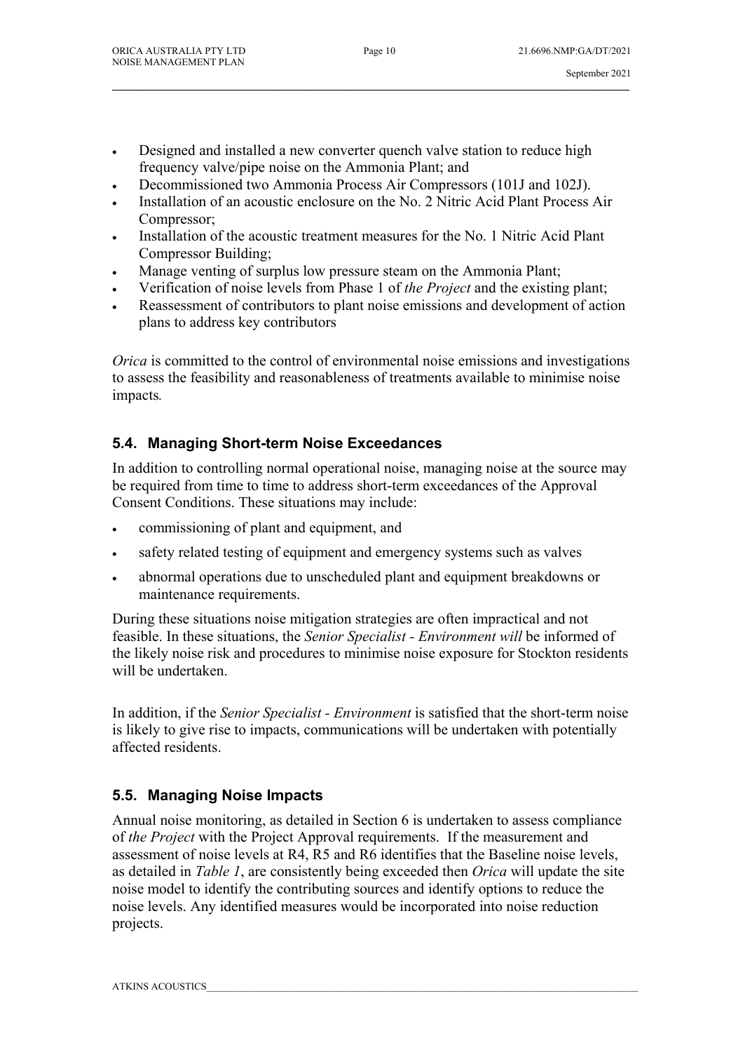- Designed and installed a new converter quench valve station to reduce high frequency valve/pipe noise on the Ammonia Plant; and
- Decommissioned two Ammonia Process Air Compressors (101J and 102J).
- Installation of an acoustic enclosure on the No. 2 Nitric Acid Plant Process Air Compressor;
- Installation of the acoustic treatment measures for the No. 1 Nitric Acid Plant Compressor Building;
- Manage venting of surplus low pressure steam on the Ammonia Plant;
- Verification of noise levels from Phase 1 of *the Project* and the existing plant;
- Reassessment of contributors to plant noise emissions and development of action plans to address key contributors

*Orica* is committed to the control of environmental noise emissions and investigations to assess the feasibility and reasonableness of treatments available to minimise noise impacts*.* 

## **5.4. Managing Short-term Noise Exceedances**

In addition to controlling normal operational noise, managing noise at the source may be required from time to time to address short-term exceedances of the Approval Consent Conditions. These situations may include:

- commissioning of plant and equipment, and
- safety related testing of equipment and emergency systems such as valves
- abnormal operations due to unscheduled plant and equipment breakdowns or maintenance requirements.

During these situations noise mitigation strategies are often impractical and not feasible. In these situations, the *Senior Specialist - Environment will* be informed of the likely noise risk and procedures to minimise noise exposure for Stockton residents will be undertaken.

In addition, if the *Senior Specialist - Environment* is satisfied that the short-term noise is likely to give rise to impacts, communications will be undertaken with potentially affected residents.

## **5.5. Managing Noise Impacts**

Annual noise monitoring, as detailed in Section 6 is undertaken to assess compliance of *the Project* with the Project Approval requirements. If the measurement and assessment of noise levels at R4, R5 and R6 identifies that the Baseline noise levels, as detailed in *Table 1*, are consistently being exceeded then *Orica* will update the site noise model to identify the contributing sources and identify options to reduce the noise levels. Any identified measures would be incorporated into noise reduction projects.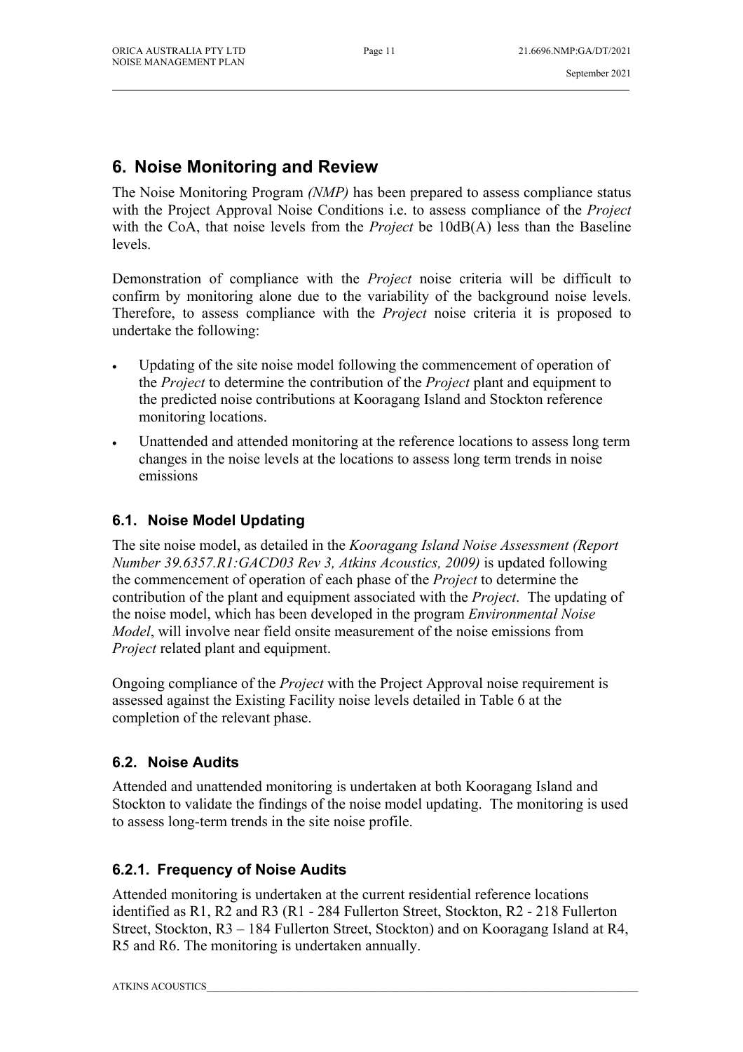## **6. Noise Monitoring and Review**

The Noise Monitoring Program *(NMP)* has been prepared to assess compliance status with the Project Approval Noise Conditions i.e. to assess compliance of the *Project* with the CoA, that noise levels from the *Project* be 10dB(A) less than the Baseline levels.

Demonstration of compliance with the *Project* noise criteria will be difficult to confirm by monitoring alone due to the variability of the background noise levels. Therefore, to assess compliance with the *Project* noise criteria it is proposed to undertake the following:

- Updating of the site noise model following the commencement of operation of the *Project* to determine the contribution of the *Project* plant and equipment to the predicted noise contributions at Kooragang Island and Stockton reference monitoring locations.
- Unattended and attended monitoring at the reference locations to assess long term changes in the noise levels at the locations to assess long term trends in noise emissions

#### **6.1. Noise Model Updating**

The site noise model, as detailed in the *Kooragang Island Noise Assessment (Report Number 39.6357.R1:GACD03 Rev 3, Atkins Acoustics, 2009)* is updated following the commencement of operation of each phase of the *Project* to determine the contribution of the plant and equipment associated with the *Project*. The updating of the noise model, which has been developed in the program *Environmental Noise Model*, will involve near field onsite measurement of the noise emissions from *Project* related plant and equipment.

Ongoing compliance of the *Project* with the Project Approval noise requirement is assessed against the Existing Facility noise levels detailed in Table 6 at the completion of the relevant phase.

#### **6.2. Noise Audits**

Attended and unattended monitoring is undertaken at both Kooragang Island and Stockton to validate the findings of the noise model updating. The monitoring is used to assess long-term trends in the site noise profile.

## **6.2.1. Frequency of Noise Audits**

Attended monitoring is undertaken at the current residential reference locations identified as R1, R2 and R3 (R1 - 284 Fullerton Street, Stockton, R2 - 218 Fullerton Street, Stockton, R3 – 184 Fullerton Street, Stockton) and on Kooragang Island at R4, R5 and R6. The monitoring is undertaken annually.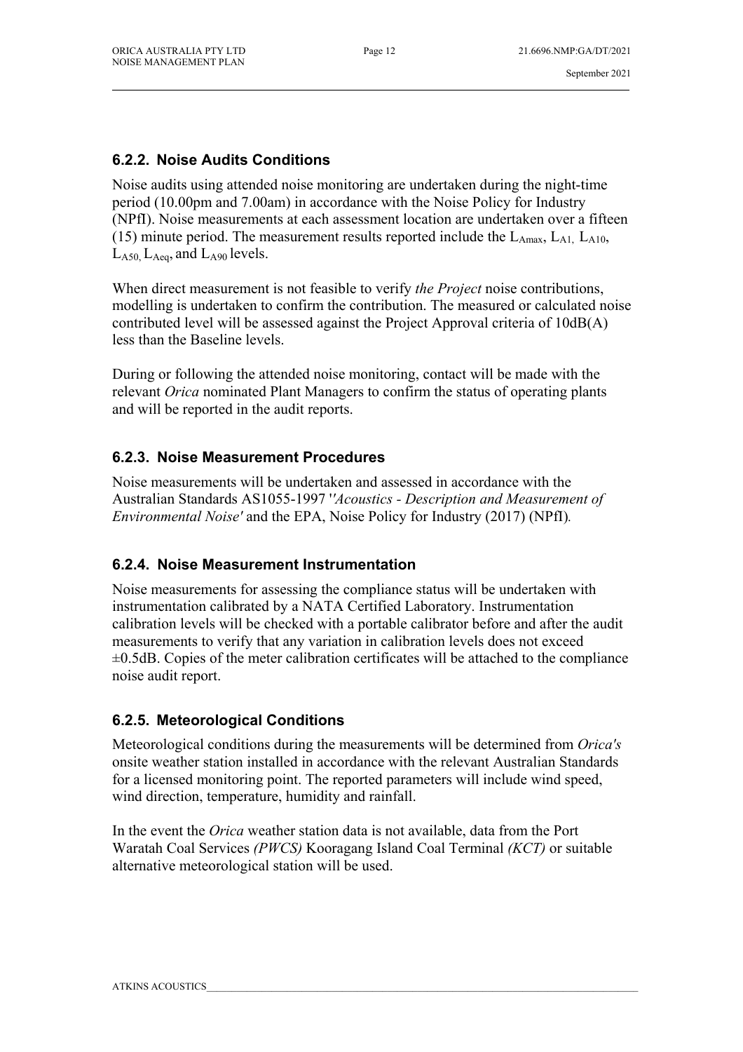#### **6.2.2. Noise Audits Conditions**

Noise audits using attended noise monitoring are undertaken during the night-time period (10.00pm and 7.00am) in accordance with the Noise Policy for Industry (NPfI). Noise measurements at each assessment location are undertaken over a fifteen (15) minute period. The measurement results reported include the  $L_{Amax}$ ,  $L_{A1}$ ,  $L_{A10}$ ,  $L_{A50}$ ,  $L_{Aea}$ , and  $L_{A90}$  levels.

When direct measurement is not feasible to verify *the Project* noise contributions, modelling is undertaken to confirm the contribution. The measured or calculated noise contributed level will be assessed against the Project Approval criteria of 10dB(A) less than the Baseline levels.

During or following the attended noise monitoring, contact will be made with the relevant *Orica* nominated Plant Managers to confirm the status of operating plants and will be reported in the audit reports.

### **6.2.3. Noise Measurement Procedures**

Noise measurements will be undertaken and assessed in accordance with the Australian Standards AS1055-1997 '*'Acoustics - Description and Measurement of Environmental Noise'* and the EPA, Noise Policy for Industry (2017) (NPfI)*.* 

## **6.2.4. Noise Measurement Instrumentation**

Noise measurements for assessing the compliance status will be undertaken with instrumentation calibrated by a NATA Certified Laboratory. Instrumentation calibration levels will be checked with a portable calibrator before and after the audit measurements to verify that any variation in calibration levels does not exceed  $\pm 0.5$ dB. Copies of the meter calibration certificates will be attached to the compliance noise audit report.

## **6.2.5. Meteorological Conditions**

Meteorological conditions during the measurements will be determined from *Orica's*  onsite weather station installed in accordance with the relevant Australian Standards for a licensed monitoring point. The reported parameters will include wind speed, wind direction, temperature, humidity and rainfall.

In the event the *Orica* weather station data is not available, data from the Port Waratah Coal Services *(PWCS)* Kooragang Island Coal Terminal *(KCT)* or suitable alternative meteorological station will be used.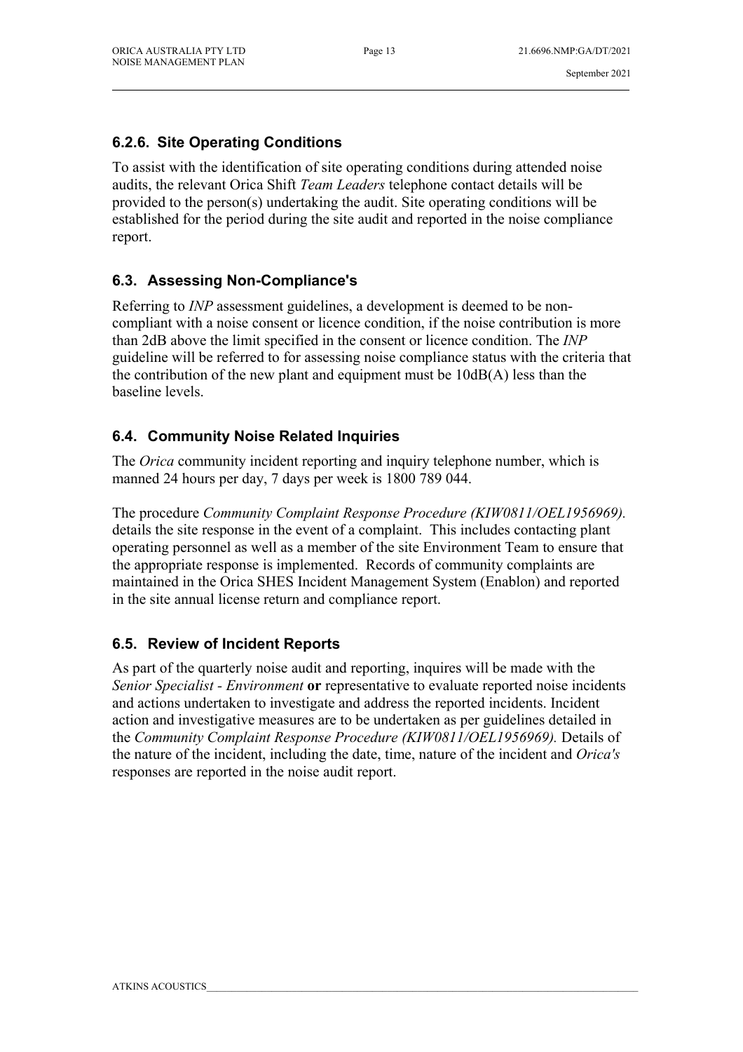### **6.2.6. Site Operating Conditions**

To assist with the identification of site operating conditions during attended noise audits, the relevant Orica Shift *Team Leaders* telephone contact details will be provided to the person(s) undertaking the audit. Site operating conditions will be established for the period during the site audit and reported in the noise compliance report.

### **6.3. Assessing Non-Compliance's**

Referring to *INP* assessment guidelines, a development is deemed to be noncompliant with a noise consent or licence condition, if the noise contribution is more than 2dB above the limit specified in the consent or licence condition. The *INP*  guideline will be referred to for assessing noise compliance status with the criteria that the contribution of the new plant and equipment must be 10dB(A) less than the baseline levels.

### **6.4. Community Noise Related Inquiries**

The *Orica* community incident reporting and inquiry telephone number, which is manned 24 hours per day, 7 days per week is 1800 789 044.

The procedure *Community Complaint Response Procedure (KIW0811/OEL1956969).*  details the site response in the event of a complaint. This includes contacting plant operating personnel as well as a member of the site Environment Team to ensure that the appropriate response is implemented. Records of community complaints are maintained in the Orica SHES Incident Management System (Enablon) and reported in the site annual license return and compliance report.

## **6.5. Review of Incident Reports**

As part of the quarterly noise audit and reporting, inquires will be made with the *Senior Specialist - Environment* **or** representative to evaluate reported noise incidents and actions undertaken to investigate and address the reported incidents. Incident action and investigative measures are to be undertaken as per guidelines detailed in the *Community Complaint Response Procedure (KIW0811/OEL1956969).* Details of the nature of the incident, including the date, time, nature of the incident and *Orica's*  responses are reported in the noise audit report.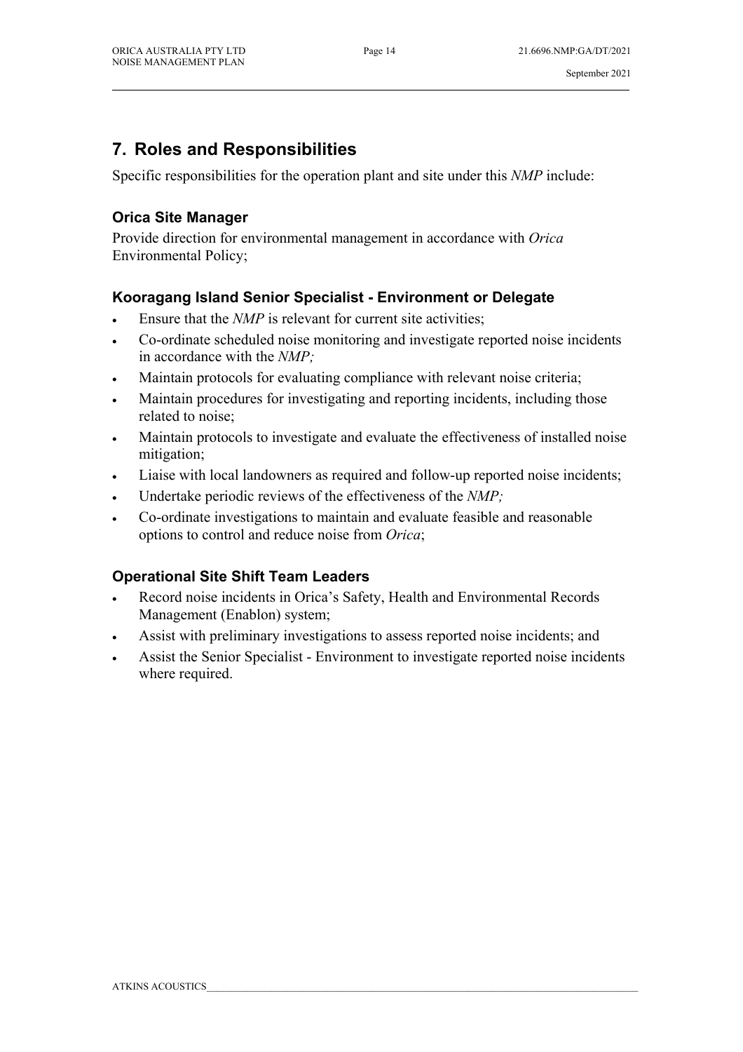# **7. Roles and Responsibilities**

Specific responsibilities for the operation plant and site under this *NMP* include:

### **Orica Site Manager**

Provide direction for environmental management in accordance with *Orica*  Environmental Policy;

#### **Kooragang Island Senior Specialist - Environment or Delegate**

- Ensure that the *NMP* is relevant for current site activities;
- Co-ordinate scheduled noise monitoring and investigate reported noise incidents in accordance with the *NMP;*
- Maintain protocols for evaluating compliance with relevant noise criteria;
- Maintain procedures for investigating and reporting incidents, including those related to noise;
- Maintain protocols to investigate and evaluate the effectiveness of installed noise mitigation;
- Liaise with local landowners as required and follow-up reported noise incidents;
- Undertake periodic reviews of the effectiveness of the *NMP;*
- Co-ordinate investigations to maintain and evaluate feasible and reasonable options to control and reduce noise from *Orica*;

## **Operational Site Shift Team Leaders**

- Record noise incidents in Orica's Safety, Health and Environmental Records Management (Enablon) system;
- Assist with preliminary investigations to assess reported noise incidents; and
- Assist the Senior Specialist Environment to investigate reported noise incidents where required.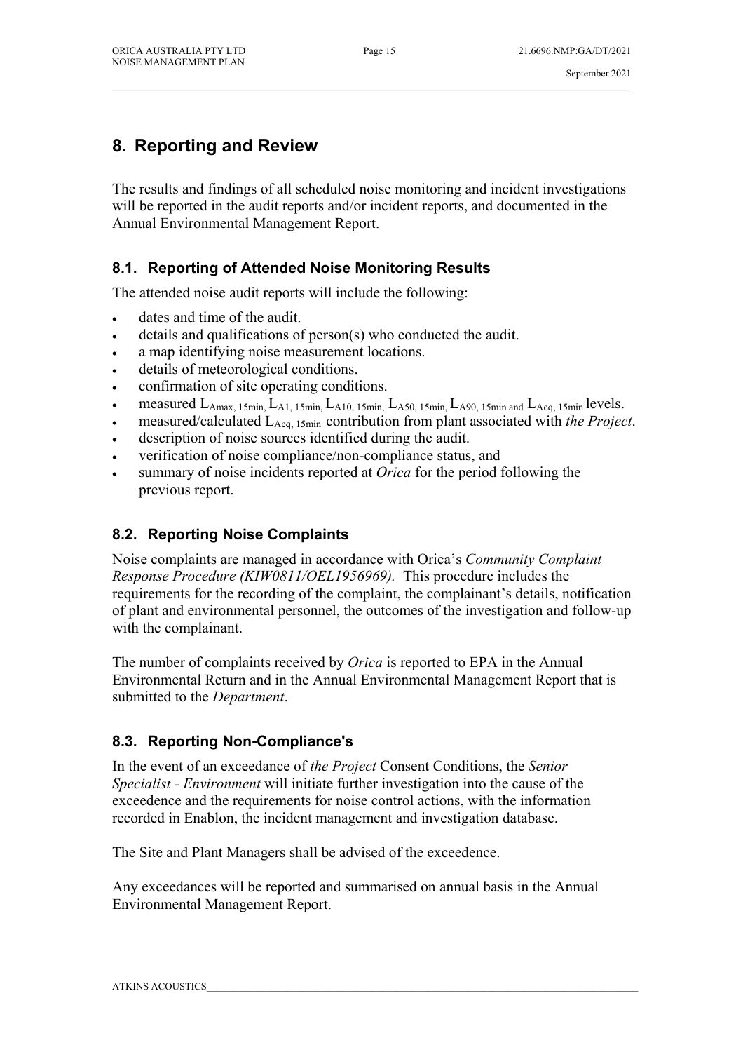# **8. Reporting and Review**

The results and findings of all scheduled noise monitoring and incident investigations will be reported in the audit reports and/or incident reports, and documented in the Annual Environmental Management Report.

## **8.1. Reporting of Attended Noise Monitoring Results**

The attended noise audit reports will include the following:

- dates and time of the audit.
- details and qualifications of person(s) who conducted the audit.
- a map identifying noise measurement locations.
- details of meteorological conditions.
- confirmation of site operating conditions.
- measured LAmax, 15min, LA1, 15min, LA10, 15min, LA50, 15min, LA90, 15min and LAeq, 15min levels.
- measured/calculated LAeq, 15min contribution from plant associated with *the Project*.
- description of noise sources identified during the audit.
- verification of noise compliance/non-compliance status, and
- summary of noise incidents reported at *Orica* for the period following the previous report.

## **8.2. Reporting Noise Complaints**

Noise complaints are managed in accordance with Orica's *Community Complaint Response Procedure (KIW0811/OEL1956969).* This procedure includes the requirements for the recording of the complaint, the complainant's details, notification of plant and environmental personnel, the outcomes of the investigation and follow-up with the complainant.

The number of complaints received by *Orica* is reported to EPA in the Annual Environmental Return and in the Annual Environmental Management Report that is submitted to the *Department*.

## **8.3. Reporting Non-Compliance's**

In the event of an exceedance of *the Project* Consent Conditions, the *Senior Specialist - Environment* will initiate further investigation into the cause of the exceedence and the requirements for noise control actions, with the information recorded in Enablon, the incident management and investigation database.

The Site and Plant Managers shall be advised of the exceedence.

Any exceedances will be reported and summarised on annual basis in the Annual Environmental Management Report.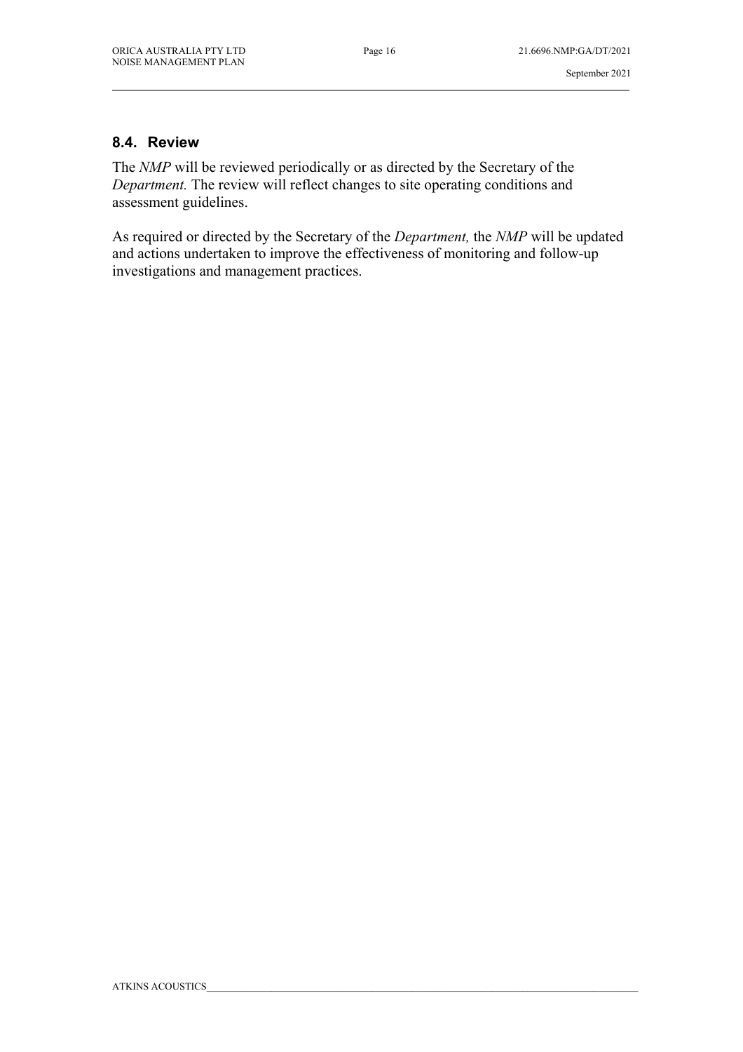#### **8.4. Review**

The *NMP* will be reviewed periodically or as directed by the Secretary of the *Department.* The review will reflect changes to site operating conditions and assessment guidelines.

As required or directed by the Secretary of the *Department,* the *NMP* will be updated and actions undertaken to improve the effectiveness of monitoring and follow-up investigations and management practices.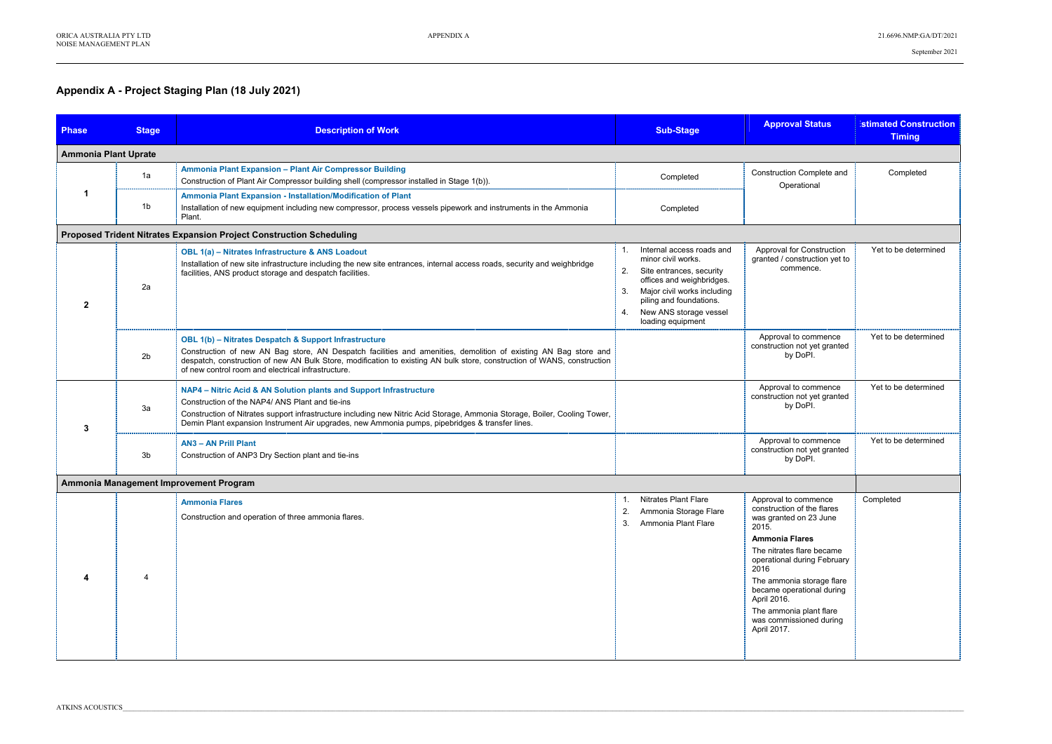## **Appendix A - Project Staging Plan (18 July 2021)**

| <b>Phase</b>                | <b>Stage</b>   | <b>Description of Work</b>                                                                                                                                                                                                                                                                                                                                           | <b>Sub-Stage</b>                                                                                                                                                                                                                          | <b>Approval Status</b>                                                                                                                                                                                                                                                                                                           | <b>Istimated Construction</b><br><b>Timing</b> |  |
|-----------------------------|----------------|----------------------------------------------------------------------------------------------------------------------------------------------------------------------------------------------------------------------------------------------------------------------------------------------------------------------------------------------------------------------|-------------------------------------------------------------------------------------------------------------------------------------------------------------------------------------------------------------------------------------------|----------------------------------------------------------------------------------------------------------------------------------------------------------------------------------------------------------------------------------------------------------------------------------------------------------------------------------|------------------------------------------------|--|
| <b>Ammonia Plant Uprate</b> |                |                                                                                                                                                                                                                                                                                                                                                                      |                                                                                                                                                                                                                                           |                                                                                                                                                                                                                                                                                                                                  |                                                |  |
|                             | 1a             | Ammonia Plant Expansion - Plant Air Compressor Building<br>Construction of Plant Air Compressor building shell (compressor installed in Stage 1(b)).                                                                                                                                                                                                                 | Completed                                                                                                                                                                                                                                 | Construction Complete and<br>Operational                                                                                                                                                                                                                                                                                         | Completed                                      |  |
|                             | 1 <sub>b</sub> | Ammonia Plant Expansion - Installation/Modification of Plant<br>Installation of new equipment including new compressor, process vessels pipework and instruments in the Ammonia<br>Plant.                                                                                                                                                                            | Completed                                                                                                                                                                                                                                 |                                                                                                                                                                                                                                                                                                                                  |                                                |  |
|                             |                | Proposed Trident Nitrates Expansion Project Construction Scheduling                                                                                                                                                                                                                                                                                                  |                                                                                                                                                                                                                                           |                                                                                                                                                                                                                                                                                                                                  |                                                |  |
| $\mathbf{2}$                | 2a             | OBL 1(a) - Nitrates Infrastructure & ANS Loadout<br>Installation of new site infrastructure including the new site entrances, internal access roads, security and weighbridge<br>facilities, ANS product storage and despatch facilities.                                                                                                                            | Internal access roads and<br>1.<br>minor civil works.<br>2.<br>Site entrances, security<br>offices and weighbridges.<br>Major civil works including<br>3.<br>piling and foundations.<br>New ANS storage vessel<br>4.<br>loading equipment | Approval for Construction<br>granted / construction yet to<br>commence.                                                                                                                                                                                                                                                          | Yet to be determined                           |  |
|                             | 2 <sub>b</sub> | <b>OBL 1(b) - Nitrates Despatch &amp; Support Infrastructure</b><br>Construction of new AN Bag store, AN Despatch facilities and amenities, demolition of existing AN Bag store and<br>despatch, construction of new AN Bulk Store, modification to existing AN bulk store, construction of WANS, construction<br>of new control room and electrical infrastructure. |                                                                                                                                                                                                                                           | Approval to commence<br>construction not yet granted<br>by DoPI.                                                                                                                                                                                                                                                                 | Yet to be determined                           |  |
| 3                           | 3a             | NAP4 - Nitric Acid & AN Solution plants and Support Infrastructure<br>Construction of the NAP4/ ANS Plant and tie-ins<br>Construction of Nitrates support infrastructure including new Nitric Acid Storage, Ammonia Storage, Boiler, Cooling Tower,<br>Demin Plant expansion Instrument Air upgrades, new Ammonia pumps, pipebridges & transfer lines.               |                                                                                                                                                                                                                                           | Approval to commence<br>construction not yet granted<br>by DoPI.                                                                                                                                                                                                                                                                 | Yet to be determined                           |  |
|                             | 3b             | <b>AN3 - AN Prill Plant</b><br>Construction of ANP3 Dry Section plant and tie-ins                                                                                                                                                                                                                                                                                    |                                                                                                                                                                                                                                           | Approval to commence<br>construction not yet granted<br>by DoPI.                                                                                                                                                                                                                                                                 | Yet to be determined                           |  |
|                             |                | Ammonia Management Improvement Program                                                                                                                                                                                                                                                                                                                               |                                                                                                                                                                                                                                           |                                                                                                                                                                                                                                                                                                                                  |                                                |  |
|                             |                | <b>Ammonia Flares</b><br>Construction and operation of three ammonia flares.                                                                                                                                                                                                                                                                                         | 1. Nitrates Plant Flare<br>2.<br>Ammonia Storage Flare<br>Ammonia Plant Flare<br>3.                                                                                                                                                       | Approval to commence<br>construction of the flares<br>was granted on 23 June<br>2015.<br><b>Ammonia Flares</b><br>The nitrates flare became<br>operational during February<br>2016<br>The ammonia storage flare<br>became operational during<br>April 2016.<br>The ammonia plant flare<br>was commissioned during<br>April 2017. | Completed                                      |  |